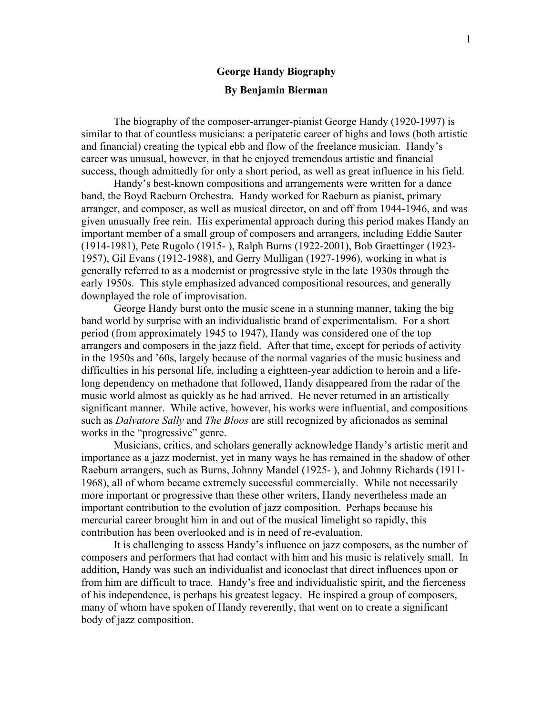## **George Handy Biography By Benjamin Bierman**

The biography of the composer-arranger-pianist George Handy (1920-1997) is similar to that of countless musicians: a peripatetic career of highs and lows (both artistic and financial) creating the typical ebb and flow of the freelance musician. Handy's career was unusual, however, in that he enjoyed tremendous artistic and financial success, though admittedly for only a short period, as well as great influence in his field.

Handy's best-known compositions and arrangements were written for a dance band, the Boyd Raeburn Orchestra. Handy worked for Raeburn as pianist, primary arranger, and composer, as well as musical director, on and off from 1944-1946, and was given unusually free rein. His experimental approach during this period makes Handy an important member of a small group of composers and arrangers, including Eddie Sauter (1914-1981), Pete Rugolo (1915- ), Ralph Burns (1922-2001), Bob Graettinger (1923- 1957), Gil Evans (1912-1988), and Gerry Mulligan (1927-1996), working in what is generally referred to as a modernist or progressive style in the late 1930s through the early 1950s. This style emphasized advanced compositional resources, and generally downplayed the role of improvisation.

George Handy burst onto the music scene in a stunning manner, taking the big band world by surprise with an individualistic brand of experimentalism. For a short period (from approximately 1945 to 1947), Handy was considered one of the top arrangers and composers in the jazz field. After that time, except for periods of activity in the 1950s and '60s, largely because of the normal vagaries of the music business and difficulties in his personal life, including a eightteen-year addiction to heroin and a lifelong dependency on methadone that followed, Handy disappeared from the radar of the music world almost as quickly as he had arrived. He never returned in an artistically significant manner. While active, however, his works were influential, and compositions such as *Dalvatore Sally* and *The Bloos* are still recognized by aficionados as seminal works in the "progressive" genre.

Musicians, critics, and scholars generally acknowledge Handy's artistic merit and importance as a jazz modernist, yet in many ways he has remained in the shadow of other Raeburn arrangers, such as Burns, Johnny Mandel (1925- ), and Johnny Richards (1911- 1968), all of whom became extremely successful commercially. While not necessarily more important or progressive than these other writers, Handy nevertheless made an important contribution to the evolution of jazz composition. Perhaps because his mercurial career brought him in and out of the musical limelight so rapidly, this contribution has been overlooked and is in need of re-evaluation.

It is challenging to assess Handy's influence on jazz composers, as the number of composers and performers that had contact with him and his music is relatively small. In addition, Handy was such an individualist and iconoclast that direct influences upon or from him are difficult to trace. Handy's free and individualistic spirit, and the fierceness of his independence, is perhaps his greatest legacy. He inspired a group of composers, many of whom have spoken of Handy reverently, that went on to create a significant body of jazz composition.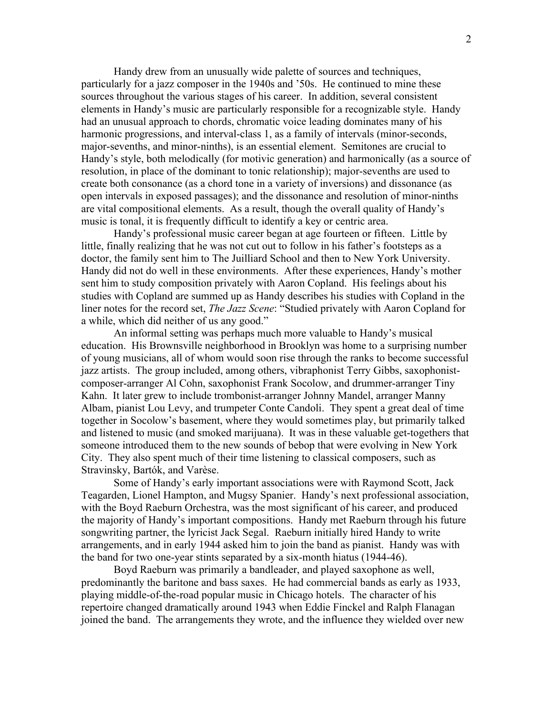Handy drew from an unusually wide palette of sources and techniques, particularly for a jazz composer in the 1940s and '50s. He continued to mine these sources throughout the various stages of his career. In addition, several consistent elements in Handy's music are particularly responsible for a recognizable style. Handy had an unusual approach to chords, chromatic voice leading dominates many of his harmonic progressions, and interval-class 1, as a family of intervals (minor-seconds, major-sevenths, and minor-ninths), is an essential element. Semitones are crucial to Handy's style, both melodically (for motivic generation) and harmonically (as a source of resolution, in place of the dominant to tonic relationship); major-sevenths are used to create both consonance (as a chord tone in a variety of inversions) and dissonance (as open intervals in exposed passages); and the dissonance and resolution of minor-ninths are vital compositional elements. As a result, though the overall quality of Handy's music is tonal, it is frequently difficult to identify a key or centric area.

Handy's professional music career began at age fourteen or fifteen. Little by little, finally realizing that he was not cut out to follow in his father's footsteps as a doctor, the family sent him to The Juilliard School and then to New York University. Handy did not do well in these environments. After these experiences, Handy's mother sent him to study composition privately with Aaron Copland. His feelings about his studies with Copland are summed up as Handy describes his studies with Copland in the liner notes for the record set, *The Jazz Scene*: "Studied privately with Aaron Copland for a while, which did neither of us any good."

An informal setting was perhaps much more valuable to Handy's musical education. His Brownsville neighborhood in Brooklyn was home to a surprising number of young musicians, all of whom would soon rise through the ranks to become successful jazz artists. The group included, among others, vibraphonist Terry Gibbs, saxophonistcomposer-arranger Al Cohn, saxophonist Frank Socolow, and drummer-arranger Tiny Kahn. It later grew to include trombonist-arranger Johnny Mandel, arranger Manny Albam, pianist Lou Levy, and trumpeter Conte Candoli. They spent a great deal of time together in Socolow's basement, where they would sometimes play, but primarily talked and listened to music (and smoked marijuana). It was in these valuable get-togethers that someone introduced them to the new sounds of bebop that were evolving in New York City. They also spent much of their time listening to classical composers, such as Stravinsky, Bartók, and Varèse.

Some of Handy's early important associations were with Raymond Scott, Jack Teagarden, Lionel Hampton, and Mugsy Spanier. Handy's next professional association, with the Boyd Raeburn Orchestra, was the most significant of his career, and produced the majority of Handy's important compositions. Handy met Raeburn through his future songwriting partner, the lyricist Jack Segal. Raeburn initially hired Handy to write arrangements, and in early 1944 asked him to join the band as pianist. Handy was with the band for two one-year stints separated by a six-month hiatus (1944-46).

Boyd Raeburn was primarily a bandleader, and played saxophone as well, predominantly the baritone and bass saxes. He had commercial bands as early as 1933, playing middle-of-the-road popular music in Chicago hotels. The character of his repertoire changed dramatically around 1943 when Eddie Finckel and Ralph Flanagan joined the band. The arrangements they wrote, and the influence they wielded over new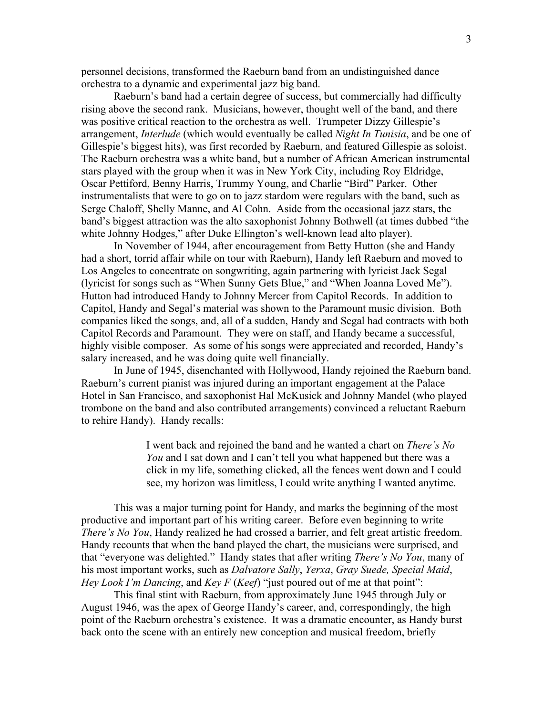personnel decisions, transformed the Raeburn band from an undistinguished dance orchestra to a dynamic and experimental jazz big band.

Raeburn's band had a certain degree of success, but commercially had difficulty rising above the second rank. Musicians, however, thought well of the band, and there was positive critical reaction to the orchestra as well. Trumpeter Dizzy Gillespie's arrangement, *Interlude* (which would eventually be called *Night In Tunisia*, and be one of Gillespie's biggest hits), was first recorded by Raeburn, and featured Gillespie as soloist. The Raeburn orchestra was a white band, but a number of African American instrumental stars played with the group when it was in New York City, including Roy Eldridge, Oscar Pettiford, Benny Harris, Trummy Young, and Charlie "Bird" Parker. Other instrumentalists that were to go on to jazz stardom were regulars with the band, such as Serge Chaloff, Shelly Manne, and Al Cohn. Aside from the occasional jazz stars, the band's biggest attraction was the alto saxophonist Johnny Bothwell (at times dubbed "the white Johnny Hodges," after Duke Ellington's well-known lead alto player).

In November of 1944, after encouragement from Betty Hutton (she and Handy had a short, torrid affair while on tour with Raeburn), Handy left Raeburn and moved to Los Angeles to concentrate on songwriting, again partnering with lyricist Jack Segal (lyricist for songs such as "When Sunny Gets Blue," and "When Joanna Loved Me"). Hutton had introduced Handy to Johnny Mercer from Capitol Records. In addition to Capitol, Handy and Segal's material was shown to the Paramount music division. Both companies liked the songs, and, all of a sudden, Handy and Segal had contracts with both Capitol Records and Paramount. They were on staff, and Handy became a successful, highly visible composer. As some of his songs were appreciated and recorded, Handy's salary increased, and he was doing quite well financially.

In June of 1945, disenchanted with Hollywood, Handy rejoined the Raeburn band. Raeburn's current pianist was injured during an important engagement at the Palace Hotel in San Francisco, and saxophonist Hal McKusick and Johnny Mandel (who played trombone on the band and also contributed arrangements) convinced a reluctant Raeburn to rehire Handy). Handy recalls:

> I went back and rejoined the band and he wanted a chart on *There's No You* and I sat down and I can't tell you what happened but there was a click in my life, something clicked, all the fences went down and I could see, my horizon was limitless, I could write anything I wanted anytime.

This was a major turning point for Handy, and marks the beginning of the most productive and important part of his writing career. Before even beginning to write *There's No You*, Handy realized he had crossed a barrier, and felt great artistic freedom. Handy recounts that when the band played the chart, the musicians were surprised, and that "everyone was delighted." Handy states that after writing *There's No You*, many of his most important works, such as *Dalvatore Sally*, *Yerxa*, *Gray Suede, Special Maid*, *Hey Look I'm Dancing*, and *Key F* (*Keef*) "just poured out of me at that point":

This final stint with Raeburn, from approximately June 1945 through July or August 1946, was the apex of George Handy's career, and, correspondingly, the high point of the Raeburn orchestra's existence. It was a dramatic encounter, as Handy burst back onto the scene with an entirely new conception and musical freedom, briefly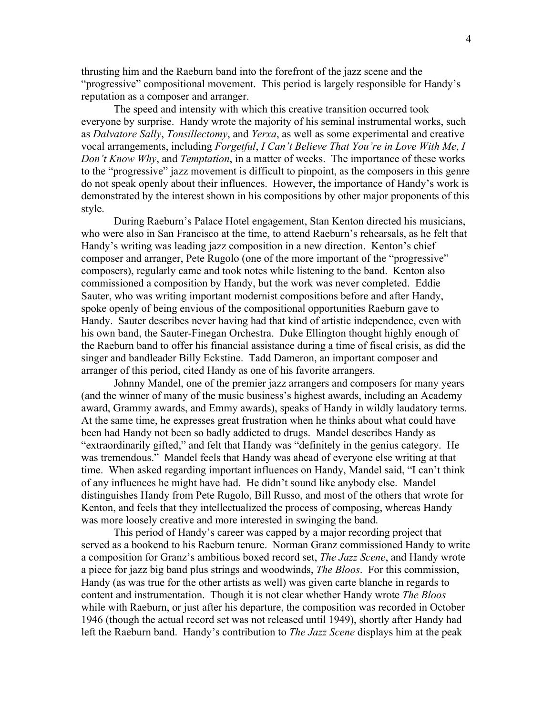thrusting him and the Raeburn band into the forefront of the jazz scene and the "progressive" compositional movement. This period is largely responsible for Handy's reputation as a composer and arranger.

The speed and intensity with which this creative transition occurred took everyone by surprise. Handy wrote the majority of his seminal instrumental works, such as *Dalvatore Sally*, *Tonsillectomy*, and *Yerxa*, as well as some experimental and creative vocal arrangements, including *Forgetful*, *I Can't Believe That You're in Love With Me*, *I Don't Know Why*, and *Temptation*, in a matter of weeks. The importance of these works to the "progressive" jazz movement is difficult to pinpoint, as the composers in this genre do not speak openly about their influences. However, the importance of Handy's work is demonstrated by the interest shown in his compositions by other major proponents of this style.

During Raeburn's Palace Hotel engagement, Stan Kenton directed his musicians, who were also in San Francisco at the time, to attend Raeburn's rehearsals, as he felt that Handy's writing was leading jazz composition in a new direction. Kenton's chief composer and arranger, Pete Rugolo (one of the more important of the "progressive" composers), regularly came and took notes while listening to the band. Kenton also commissioned a composition by Handy, but the work was never completed. Eddie Sauter, who was writing important modernist compositions before and after Handy, spoke openly of being envious of the compositional opportunities Raeburn gave to Handy. Sauter describes never having had that kind of artistic independence, even with his own band, the Sauter-Finegan Orchestra. Duke Ellington thought highly enough of the Raeburn band to offer his financial assistance during a time of fiscal crisis, as did the singer and bandleader Billy Eckstine. Tadd Dameron, an important composer and arranger of this period, cited Handy as one of his favorite arrangers.

Johnny Mandel, one of the premier jazz arrangers and composers for many years (and the winner of many of the music business's highest awards, including an Academy award, Grammy awards, and Emmy awards), speaks of Handy in wildly laudatory terms. At the same time, he expresses great frustration when he thinks about what could have been had Handy not been so badly addicted to drugs. Mandel describes Handy as "extraordinarily gifted," and felt that Handy was "definitely in the genius category. He was tremendous." Mandel feels that Handy was ahead of everyone else writing at that time. When asked regarding important influences on Handy, Mandel said, "I can't think of any influences he might have had. He didn't sound like anybody else. Mandel distinguishes Handy from Pete Rugolo, Bill Russo, and most of the others that wrote for Kenton, and feels that they intellectualized the process of composing, whereas Handy was more loosely creative and more interested in swinging the band.

This period of Handy's career was capped by a major recording project that served as a bookend to his Raeburn tenure. Norman Granz commissioned Handy to write a composition for Granz's ambitious boxed record set, *The Jazz Scene*, and Handy wrote a piece for jazz big band plus strings and woodwinds, *The Bloos*. For this commission, Handy (as was true for the other artists as well) was given carte blanche in regards to content and instrumentation. Though it is not clear whether Handy wrote *The Bloos* while with Raeburn, or just after his departure, the composition was recorded in October 1946 (though the actual record set was not released until 1949), shortly after Handy had left the Raeburn band. Handy's contribution to *The Jazz Scene* displays him at the peak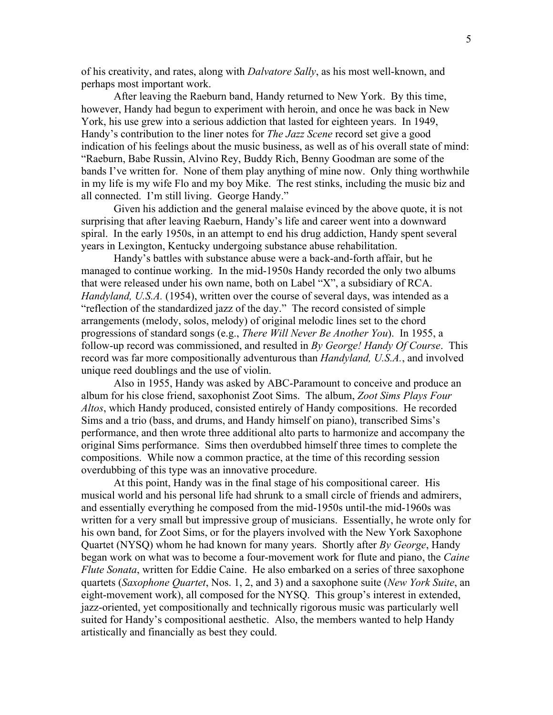of his creativity, and rates, along with *Dalvatore Sally*, as his most well-known, and perhaps most important work.

After leaving the Raeburn band, Handy returned to New York. By this time, however, Handy had begun to experiment with heroin, and once he was back in New York, his use grew into a serious addiction that lasted for eighteen years. In 1949, Handy's contribution to the liner notes for *The Jazz Scene* record set give a good indication of his feelings about the music business, as well as of his overall state of mind: "Raeburn, Babe Russin, Alvino Rey, Buddy Rich, Benny Goodman are some of the bands I've written for. None of them play anything of mine now. Only thing worthwhile in my life is my wife Flo and my boy Mike. The rest stinks, including the music biz and all connected. I'm still living. George Handy."

Given his addiction and the general malaise evinced by the above quote, it is not surprising that after leaving Raeburn, Handy's life and career went into a downward spiral. In the early 1950s, in an attempt to end his drug addiction, Handy spent several years in Lexington, Kentucky undergoing substance abuse rehabilitation.

Handy's battles with substance abuse were a back-and-forth affair, but he managed to continue working. In the mid-1950s Handy recorded the only two albums that were released under his own name, both on Label "X", a subsidiary of RCA. *Handyland, U.S.A.* (1954), written over the course of several days, was intended as a "reflection of the standardized jazz of the day." The record consisted of simple arrangements (melody, solos, melody) of original melodic lines set to the chord progressions of standard songs (e.g., *There Will Never Be Another You*). In 1955, a follow-up record was commissioned, and resulted in *By George! Handy Of Course*. This record was far more compositionally adventurous than *Handyland, U.S.A.*, and involved unique reed doublings and the use of violin.

Also in 1955, Handy was asked by ABC-Paramount to conceive and produce an album for his close friend, saxophonist Zoot Sims. The album, *Zoot Sims Plays Four Altos*, which Handy produced, consisted entirely of Handy compositions. He recorded Sims and a trio (bass, and drums, and Handy himself on piano), transcribed Sims's performance, and then wrote three additional alto parts to harmonize and accompany the original Sims performance. Sims then overdubbed himself three times to complete the compositions. While now a common practice, at the time of this recording session overdubbing of this type was an innovative procedure.

At this point, Handy was in the final stage of his compositional career. His musical world and his personal life had shrunk to a small circle of friends and admirers, and essentially everything he composed from the mid-1950s until-the mid-1960s was written for a very small but impressive group of musicians. Essentially, he wrote only for his own band, for Zoot Sims, or for the players involved with the New York Saxophone Quartet (NYSQ) whom he had known for many years. Shortly after *By George*, Handy began work on what was to become a four-movement work for flute and piano, the *Caine Flute Sonata*, written for Eddie Caine. He also embarked on a series of three saxophone quartets (*Saxophone Quartet*, Nos. 1, 2, and 3) and a saxophone suite (*New York Suite*, an eight-movement work), all composed for the NYSQ. This group's interest in extended, jazz-oriented, yet compositionally and technically rigorous music was particularly well suited for Handy's compositional aesthetic. Also, the members wanted to help Handy artistically and financially as best they could.